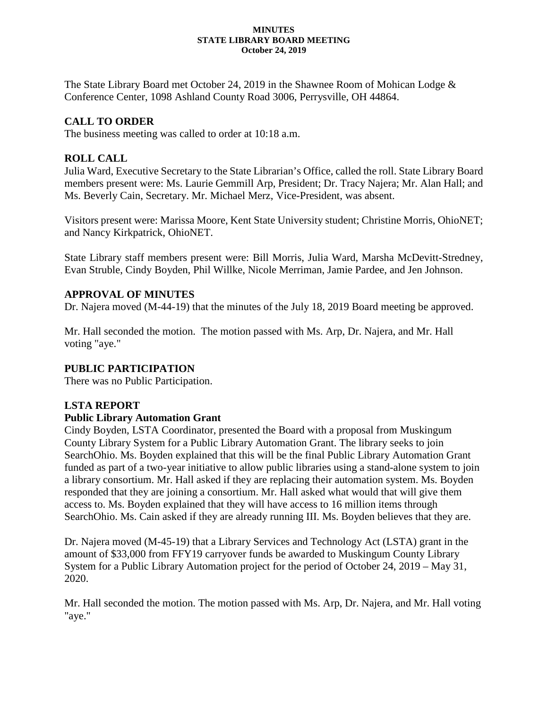#### **MINUTES STATE LIBRARY BOARD MEETING October 24, 2019**

The State Library Board met October 24, 2019 in the Shawnee Room of Mohican Lodge & Conference Center, 1098 Ashland County Road 3006, Perrysville, OH 44864.

# **CALL TO ORDER**

The business meeting was called to order at 10:18 a.m.

## **ROLL CALL**

Julia Ward, Executive Secretary to the State Librarian's Office, called the roll. State Library Board members present were: Ms. Laurie Gemmill Arp, President; Dr. Tracy Najera; Mr. Alan Hall; and Ms. Beverly Cain, Secretary. Mr. Michael Merz, Vice-President, was absent.

Visitors present were: Marissa Moore, Kent State University student; Christine Morris, OhioNET; and Nancy Kirkpatrick, OhioNET.

State Library staff members present were: Bill Morris, Julia Ward, Marsha McDevitt-Stredney, Evan Struble, Cindy Boyden, Phil Willke, Nicole Merriman, Jamie Pardee, and Jen Johnson.

## **APPROVAL OF MINUTES**

Dr. Najera moved (M-44-19) that the minutes of the July 18, 2019 Board meeting be approved.

Mr. Hall seconded the motion. The motion passed with Ms. Arp, Dr. Najera, and Mr. Hall voting "aye."

## **PUBLIC PARTICIPATION**

There was no Public Participation.

## **LSTA REPORT**

## **Public Library Automation Grant**

Cindy Boyden, LSTA Coordinator, presented the Board with a proposal from Muskingum County Library System for a Public Library Automation Grant. The library seeks to join SearchOhio. Ms. Boyden explained that this will be the final Public Library Automation Grant funded as part of a two-year initiative to allow public libraries using a stand-alone system to join a library consortium. Mr. Hall asked if they are replacing their automation system. Ms. Boyden responded that they are joining a consortium. Mr. Hall asked what would that will give them access to. Ms. Boyden explained that they will have access to 16 million items through SearchOhio. Ms. Cain asked if they are already running III. Ms. Boyden believes that they are.

Dr. Najera moved (M-45-19) that a Library Services and Technology Act (LSTA) grant in the amount of \$33,000 from FFY19 carryover funds be awarded to Muskingum County Library System for a Public Library Automation project for the period of October 24, 2019 – May 31, 2020.

Mr. Hall seconded the motion. The motion passed with Ms. Arp, Dr. Najera, and Mr. Hall voting "aye."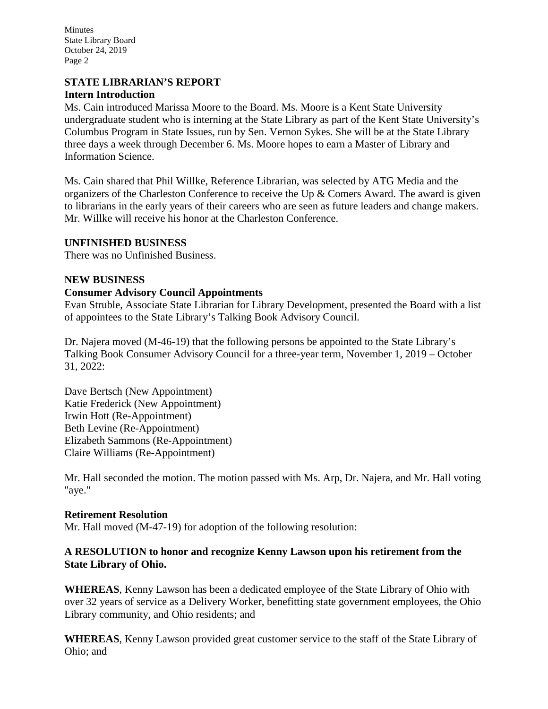Minutes State Library Board October 24, 2019 Page 2

## **STATE LIBRARIAN'S REPORT Intern Introduction**

Ms. Cain introduced Marissa Moore to the Board. Ms. Moore is a Kent State University undergraduate student who is interning at the State Library as part of the Kent State University's Columbus Program in State Issues, run by Sen. Vernon Sykes. She will be at the State Library three days a week through December 6. Ms. Moore hopes to earn a Master of Library and Information Science.

Ms. Cain shared that Phil Willke, Reference Librarian, was selected by ATG Media and the organizers of the Charleston Conference to receive the Up & Comers Award. The award is given to librarians in the early years of their careers who are seen as future leaders and change makers. Mr. Willke will receive his honor at the Charleston Conference.

## **UNFINISHED BUSINESS**

There was no Unfinished Business.

## **NEW BUSINESS**

## **Consumer Advisory Council Appointments**

Evan Struble, Associate State Librarian for Library Development, presented the Board with a list of appointees to the State Library's Talking Book Advisory Council.

Dr. Najera moved (M-46-19) that the following persons be appointed to the State Library's Talking Book Consumer Advisory Council for a three-year term, November 1, 2019 – October 31, 2022:

Dave Bertsch (New Appointment) Katie Frederick (New Appointment) Irwin Hott (Re-Appointment) Beth Levine (Re-Appointment) Elizabeth Sammons (Re-Appointment) Claire Williams (Re-Appointment)

Mr. Hall seconded the motion. The motion passed with Ms. Arp, Dr. Najera, and Mr. Hall voting "aye."

#### **Retirement Resolution**

Mr. Hall moved (M-47-19) for adoption of the following resolution:

## **A RESOLUTION to honor and recognize Kenny Lawson upon his retirement from the State Library of Ohio.**

**WHEREAS**, Kenny Lawson has been a dedicated employee of the State Library of Ohio with over 32 years of service as a Delivery Worker, benefitting state government employees, the Ohio Library community, and Ohio residents; and

**WHEREAS**, Kenny Lawson provided great customer service to the staff of the State Library of Ohio; and